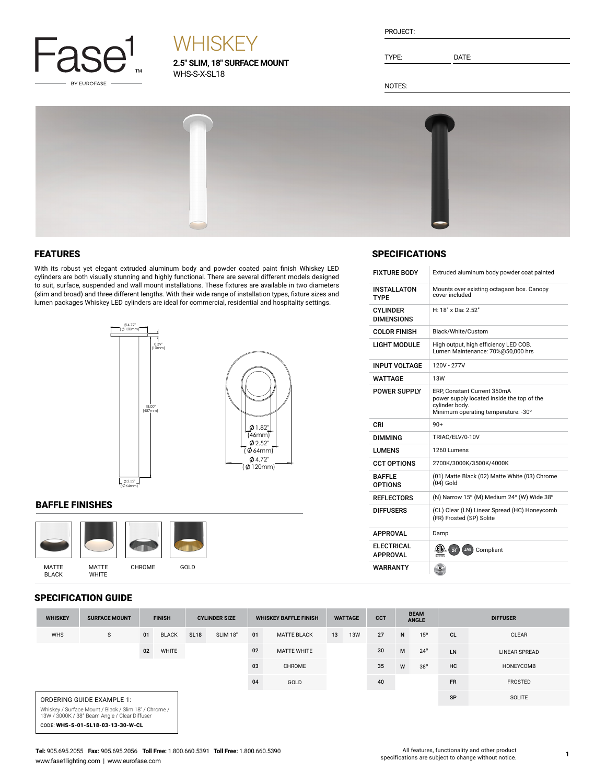

# **WHISKEY**

**2.5" SLIM, 18" SURFACE MOUNT** WHS-S-X-SL18

| PROJECT: |  |
|----------|--|
|          |  |
|          |  |

TYPE: DATE:

SPECIFICATIONS

INSTALLATON TYPE

CYLINDER DIMENSIONS

FIXTURE BODY Extruded aluminum body powder coat painted

H: 18" x Dia: 2.52"

LIGHT MODULE High output, high efficiency LED COB. Lumen Maintenance: 70%@50,000 hrs

POWER SUPPLY ERP, Constant Current 350mA power supply located inside the top of the

cylinder body.<br>Minimum operating temperature: -30°

(01) Matte Black (02) Matte White (03) Chrome

COLOR FINISH Black/White/Custom

INPUT VOLTAGE | 120V - 277V WATTAGE 13W

DIMMING TRIAC/ELV/0-10V LUMENS 1260 Lumens

CCT OPTIONS 2700K/3000K/3500K/4000K

 $(04)$  Gold

REFLECTORS  $\vert$  (N) Narrow 15° (M) Medium 24° (W) Wide 38° DIFFUSERS (CL) Clear (LN) Linear Spread (HC) Honeycomb (FR) Frosted (SP) Solite

 $CRI$  90+

APPROVAL Damp

BAFFLE OPTIONS

**ELECTRICAL**<br>APPROVAL WARRANTY

Mounts over existing octagaon box. Canopy cover included

NOTES:



### FEATURES

With its robust yet elegant extruded aluminum body and powder coated paint finish Whiskey LED cylinders are both visually stunning and highly functional. There are several different models designed to suit, surface, suspended and wall mount installations. These fixtures are available in two diameters (slim and broad) and three different lengths. With their wide range of installation types, fixture sizes and lumen packages Whiskey LED cylinders are ideal for commercial, residential and hospitality settings.



#### BAFFLE FINISHES



#### SPECIFICATION GUIDE

| <b>WHISKEY</b>                                                                                         | <b>SURFACE MOUNT</b>              |    | <b>FINISH</b> |             | <b>CYLINDER SIZE</b> |        | <b>WHISKEY BAFFLE FINISH</b> | <b>WATTAGE</b> |            | <b>CCT</b> | <b>BEAM</b><br><b>ANGLE</b> |                 | <b>DIFFUSER</b> |                      |
|--------------------------------------------------------------------------------------------------------|-----------------------------------|----|---------------|-------------|----------------------|--------|------------------------------|----------------|------------|------------|-----------------------------|-----------------|-----------------|----------------------|
| <b>WHS</b>                                                                                             | S                                 | 01 | <b>BLACK</b>  | <b>SL18</b> | SLIM 18"             | 01     | <b>MATTE BLACK</b>           | 13             | <b>13W</b> | 27         | $\mathsf{N}$                | 15 <sup>o</sup> | <b>CL</b>       | <b>CLEAR</b>         |
|                                                                                                        |                                   | 02 | WHITE         |             |                      | 02     | <b>MATTE WHITE</b>           |                |            | 30         | M                           | $24^{\circ}$    | LN              | <b>LINEAR SPREAD</b> |
|                                                                                                        |                                   |    |               |             | 03                   | CHROME |                              |                | 35         | W          | $38^{\circ}$                | HC              | HONEYCOMB       |                      |
|                                                                                                        |                                   |    |               |             |                      | 04     | GOLD                         |                |            | 40         |                             |                 | <b>FR</b>       | <b>FROSTED</b>       |
|                                                                                                        | ORDERING GUIDE EXAMPLE 1:         |    |               |             |                      |        |                              |                |            |            |                             |                 | SP              | <b>SOLITE</b>        |
| Whiskey / Surface Mount / Black / Slim 18" / Chrome /<br>13W / 3000K / 38° Beam Angle / Clear Diffuser |                                   |    |               |             |                      |        |                              |                |            |            |                             |                 |                 |                      |
|                                                                                                        | CODE: WHS-S-01-SL18-03-13-30-W-CL |    |               |             |                      |        |                              |                |            |            |                             |                 |                 |                      |

#### **Tel:** 905.695.2055 **Fax:** 905.695.2056 **Toll Free:** 1.800.660.5391 **Toll Free:** 1.800.660.5390 www.fase1lighting.com | www.eurofase.com

APPROVAL **(U).** 24 JA8 Compliant

 $\frac{5}{5}$